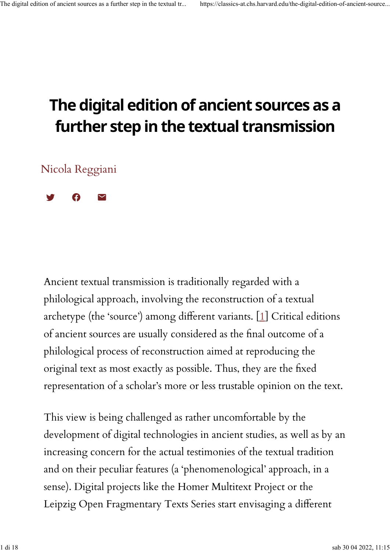## **The digital edition of ancient sources as a further step in the textual transmission**

[Nicola Reggiani](https://classics-at.chs.harvard.edu/authors/nicola-reggiani)

 $\mathbf{y}$   $\mathbf{\theta}$   $\mathbf{y}$ 

Ancient textual transmission is traditionally regarded with a philological approach, involving the reconstruction of a textual archetype (the 'source') among di�erent variants. [\[1\]](https://classics-at.chs.harvard.edu/the-digital-edition-of-ancient-sources-as-a-further-step-in-the-textual-transmission/#n.1) Critical editions of ancient sources are usually considered as the final outcome of a philological process of reconstruction aimed at reproducing the original text as most exactly as possible. Thus, they are the fixed representation of a scholar's more or less trustable opinion on the text.

This view is being challenged as rather uncomfortable by the development of digital technologies in ancient studies, as well as by an increasing concern for the actual testimonies of the textual tradition and on their peculiar features (a 'phenomenological' approach, in a sense). Digital projects like the Homer Multitext Project or the Leipzig Open Fragmentary Texts Series start envisaging a different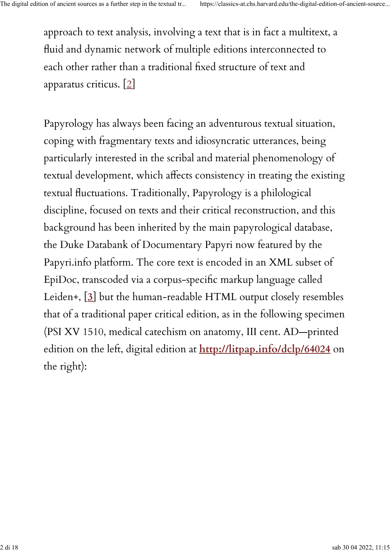approach to text analysis, involving a text that is in fact a multitext, a fluid and dynamic network of multiple editions interconnected to each other rather than a traditional fixed structure of text and apparatus criticus. [\[2\]](https://classics-at.chs.harvard.edu/the-digital-edition-of-ancient-sources-as-a-further-step-in-the-textual-transmission/#n.2)

Papyrology has always been facing an adventurous textual situation, coping with fragmentary texts and idiosyncratic utterances, being particularly interested in the scribal and material phenomenology of textual development, which affects consistency in treating the existing textual fluctuations. Traditionally, Papyrology is a philological discipline, focused on texts and their critical reconstruction, and this background has been inherited by the main papyrological database, the Duke Databank of Documentary Papyri now featured by the Papyri.info platform. The core text is encoded in an XML subset of EpiDoc, transcoded via a corpus-speci�c markup language called Leiden+, [**[3](https://classics-at.chs.harvard.edu/the-digital-edition-of-ancient-sources-as-a-further-step-in-the-textual-transmission/#n.3)**] but the human-readable HTML output closely resembles that of a traditional paper critical edition, as in the following specimen (PSI XV 1510, medical catechism on anatomy, III cent. AD—printed edition on the left, digital edition at **<http://litpap.info/dclp/64024>** on the right):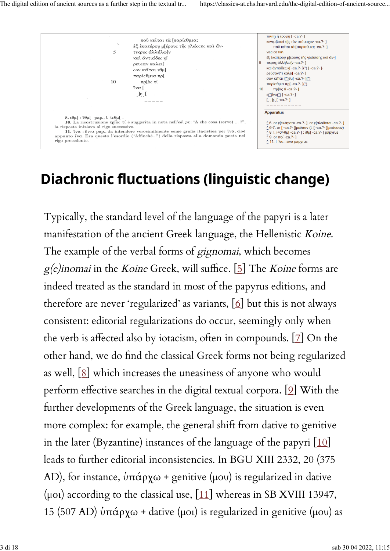

#### **Diachronic fluctuations (linguistic change)**

Typically, the standard level of the language of the papyri is a later manifestation of the ancient Greek language, the Hellenistic Koine. The example of the verbal forms of gignomai, which becomes  $g(e)$ inomai in the Koine Greek, will suffice. [\[5\]](https://classics-at.chs.harvard.edu/the-digital-edition-of-ancient-sources-as-a-further-step-in-the-textual-transmission/#n.5) The Koine forms are indeed treated as the standard in most of the papyrus editions, and therefore are never 'regularized' as variants,  $[6]$  but this is not always consistent: editorial regularizations do occur, seemingly only when the verb is affected also by iotacism, often in compounds.  $[2]$  On the other hand, we do �nd the classical Greek forms not being regularized as well,  $[8]$  which increases the uneasiness of anyone who would perform effective searches in the digital textual corpora.  $[9]$  $[9]$  With the further developments of the Greek language, the situation is even more complex: for example, the general shift from dative to genitive in the later (Byzantine) instances of the language of the papyri  $[10]$  $[10]$ leads to further editorial inconsistencies. In BGU XIII 2332, 20 (375 AD), for instance, ὑπάρχω + genitive (μου) is regularized in dative (μοι) according to the classical use,  $[11]$  whereas in SB XVIII 13947, 15 (507 AD) ὑπάρχω + dative (μοι) is regularized in genitive (μου) as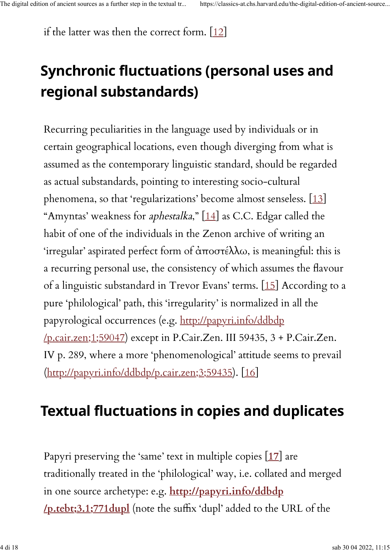if the latter was then the correct form.  $[12]$ 

# **Synchronic fluctuations (personal uses and regional substandards)**

Recurring peculiarities in the language used by individuals or in certain geographical locations, even though diverging from what is assumed as the contemporary linguistic standard, should be regarded as actual substandards, pointing to interesting socio-cultural phenomena, so that 'regularizations' become almost senseless. [\[13\]](https://classics-at.chs.harvard.edu/the-digital-edition-of-ancient-sources-as-a-further-step-in-the-textual-transmission/#n.13) "Amyntas' weakness for *aphestalka*," [\[14\]](https://classics-at.chs.harvard.edu/the-digital-edition-of-ancient-sources-as-a-further-step-in-the-textual-transmission/#n.14) as C.C. Edgar called the habit of one of the individuals in the Zenon archive of writing an 'irregular' aspirated perfect form of ἀποστέλλω, is meaningful: this is a recurring personal use, the consistency of which assumes the flavour of a linguistic substandard in Trevor Evans' terms. [\[15\]](https://classics-at.chs.harvard.edu/the-digital-edition-of-ancient-sources-as-a-further-step-in-the-textual-transmission/#n.15) According to a pure 'philological' path, this 'irregularity' is normalized in all the papyrological occurrences (e.g. [http://papyri.info/ddbdp](http://papyri.info/ddbdp/p.cair.zen;1;59047) [/p.cair.zen;1;59047\)](http://papyri.info/ddbdp/p.cair.zen;1;59047) except in P.Cair.Zen. III 59435, 3 + P.Cair.Zen. IV p. 289, where a more 'phenomenological' attitude seems to prevail [\(http://papyri.info/ddbdp/p.cair.zen;3;59435\)](http://papyri.info/ddbdp/p.cair.zen;3;59435). [\[16\]](https://classics-at.chs.harvard.edu/the-digital-edition-of-ancient-sources-as-a-further-step-in-the-textual-transmission/#n.16)

### **Textual fluctuations in copies and duplicates**

Papyri preserving the 'same' text in multiple copies [**[17](https://classics-at.chs.harvard.edu/the-digital-edition-of-ancient-sources-as-a-further-step-in-the-textual-transmission/#n.17)**] are traditionally treated in the 'philological' way, i.e. collated and merged in one source archetype: e.g. **[http://papyri.info/ddbdp](http://papyri.info/ddbdp/p.tebt;3.1;771dupl) [/p.tebt;3.1;771dupl](http://papyri.info/ddbdp/p.tebt;3.1;771dupl)** (note the su�x 'dupl' added to the URL of the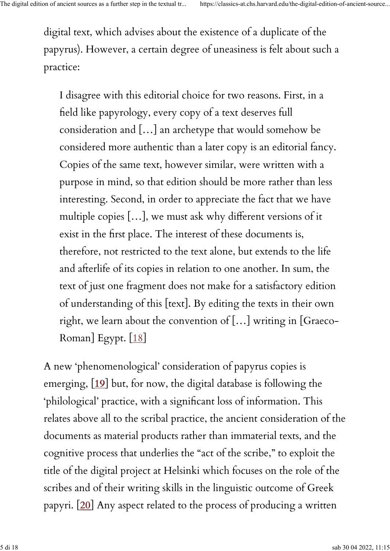digital text, which advises about the existence of a duplicate of the papyrus). However, a certain degree of uneasiness is felt about such a practice:

I disagree with this editorial choice for two reasons. First, in a �eld like papyrology, every copy of a text deserves full consideration and […] an archetype that would somehow be considered more authentic than a later copy is an editorial fancy. Copies of the same text, however similar, were written with a purpose in mind, so that edition should be more rather than less interesting. Second, in order to appreciate the fact that we have multiple copies [...], we must ask why different versions of it exist in the first place. The interest of these documents is, therefore, not restricted to the text alone, but extends to the life and afterlife of its copies in relation to one another. In sum, the text of just one fragment does not make for a satisfactory edition of understanding of this [text]. By editing the texts in their own right, we learn about the convention of […] writing in [Graeco-Roman] Egypt. [\[18\]](https://classics-at.chs.harvard.edu/the-digital-edition-of-ancient-sources-as-a-further-step-in-the-textual-transmission/#n.18)

A new 'phenomenological' consideration of papyrus copies is emerging, [**[19](https://classics-at.chs.harvard.edu/the-digital-edition-of-ancient-sources-as-a-further-step-in-the-textual-transmission/#n.19)**] but, for now, the digital database is following the 'philological' practice, with a significant loss of information. This relates above all to the scribal practice, the ancient consideration of the documents as material products rather than immaterial texts, and the cognitive process that underlies the "act of the scribe," to exploit the title of the digital project at Helsinki which focuses on the role of the scribes and of their writing skills in the linguistic outcome of Greek papyri. [**[20](https://classics-at.chs.harvard.edu/the-digital-edition-of-ancient-sources-as-a-further-step-in-the-textual-transmission/#n.20)**] Any aspect related to the process of producing a written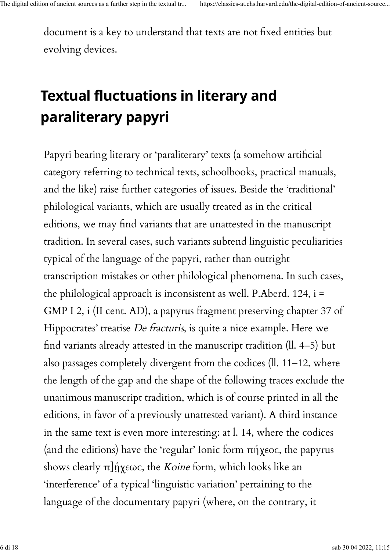document is a key to understand that texts are not fixed entities but evolving devices.

## **Textual fluctuations in literary and paraliterary papyri**

Papyri bearing literary or 'paraliterary' texts (a somehow artificial category referring to technical texts, schoolbooks, practical manuals, and the like) raise further categories of issues. Beside the 'traditional' philological variants, which are usually treated as in the critical editions, we may find variants that are unattested in the manuscript tradition. In several cases, such variants subtend linguistic peculiarities typical of the language of the papyri, rather than outright transcription mistakes or other philological phenomena. In such cases, the philological approach is inconsistent as well. P.Aberd. 124, i = GMP I 2, i (II cent. AD), a papyrus fragment preserving chapter 37 of Hippocrates' treatise De fracturis, is quite a nice example. Here we �nd variants already attested in the manuscript tradition (ll. 4–5) but also passages completely divergent from the codices (ll. 11–12, where the length of the gap and the shape of the following traces exclude the unanimous manuscript tradition, which is of course printed in all the editions, in favor of a previously unattested variant). A third instance in the same text is even more interesting: at l. 14, where the codices (and the editions) have the 'regular' Ionic form πήχεοϲ, the papyrus shows clearly  $\pi$ ]ήχεως, the *Koine* form, which looks like an 'interference' of a typical 'linguistic variation' pertaining to the language of the documentary papyri (where, on the contrary, it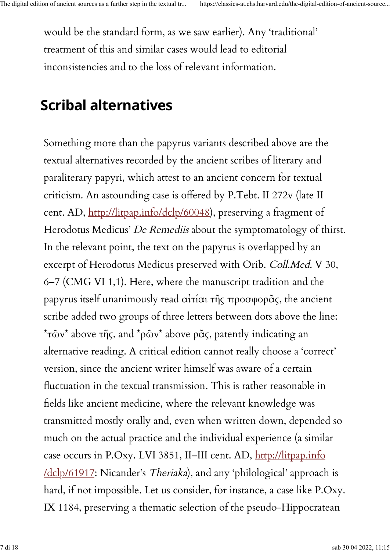would be the standard form, as we saw earlier). Any 'traditional' treatment of this and similar cases would lead to editorial inconsistencies and to the loss of relevant information.

#### **Scribal alternatives**

Something more than the papyrus variants described above are the textual alternatives recorded by the ancient scribes of literary and paraliterary papyri, which attest to an ancient concern for textual criticism. An astounding case is o�ered by P.Tebt. II 272v (late II cent. AD, [http://litpap.info/dclp/60048\)](http://litpap.info/dclp/60048), preserving a fragment of Herodotus Medicus' De Remediis about the symptomatology of thirst. In the relevant point, the text on the papyrus is overlapped by an excerpt of Herodotus Medicus preserved with Orib. Coll.Med. V 30, 6–7 (CMG VI 1,1). Here, where the manuscript tradition and the papyrus itself unanimously read αἰτίαι τῆς προσφορᾶς, the ancient scribe added two groups of three letters between dots above the line: \* τῶν\* above τῆς, and \*ρῶν\* above ρᾶς, patently indicating an alternative reading. A critical edition cannot really choose a 'correct' version, since the ancient writer himself was aware of a certain �uctuation in the textual transmission. This is rather reasonable in �elds like ancient medicine, where the relevant knowledge was transmitted mostly orally and, even when written down, depended so much on the actual practice and the individual experience (a similar case occurs in P.Oxy. LVI 3851, II–III cent. AD, [http://litpap.info](http://litpap.info/dclp/61917) [/dclp/61917:](http://litpap.info/dclp/61917) Nicander's Theriaka), and any 'philological' approach is hard, if not impossible. Let us consider, for instance, a case like P.Oxy. IX 1184, preserving a thematic selection of the pseudo-Hippocratean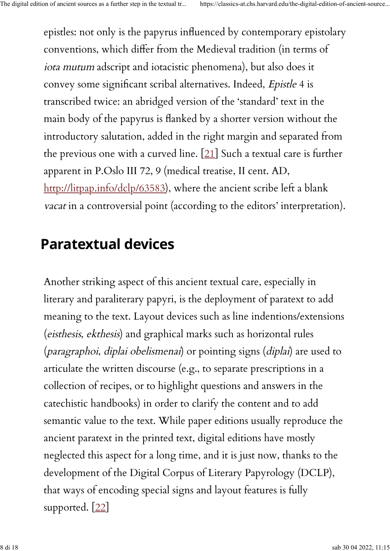epistles: not only is the papyrus in�uenced by contemporary epistolary conventions, which di�er from the Medieval tradition (in terms of iota mutum adscript and iotacistic phenomena), but also does it convey some significant scribal alternatives. Indeed, Epistle 4 is transcribed twice: an abridged version of the 'standard' text in the main body of the papyrus is flanked by a shorter version without the introductory salutation, added in the right margin and separated from the previous one with a curved line. [\[21\]](https://classics-at.chs.harvard.edu/the-digital-edition-of-ancient-sources-as-a-further-step-in-the-textual-transmission/#n.21) Such a textual care is further apparent in P.Oslo III 72, 9 (medical treatise, II cent. AD, [http://litpap.info/dclp/63583\)](http://litpap.info/dclp/63583), where the ancient scribe left a blank vacat in a controversial point (according to the editors' interpretation).

#### **Paratextual devices**

Another striking aspect of this ancient textual care, especially in literary and paraliterary papyri, is the deployment of paratext to add meaning to the text. Layout devices such as line indentions/extensions (eisthesis, ekthesis) and graphical marks such as horizontal rules (paragraphoi, diplai obelismenai) or pointing signs (diplai) are used to articulate the written discourse (e.g., to separate prescriptions in a collection of recipes, or to highlight questions and answers in the catechistic handbooks) in order to clarify the content and to add semantic value to the text. While paper editions usually reproduce the ancient paratext in the printed text, digital editions have mostly neglected this aspect for a long time, and it is just now, thanks to the development of the Digital Corpus of Literary Papyrology (DCLP), that ways of encoding special signs and layout features is fully supported. [\[22\]](https://classics-at.chs.harvard.edu/the-digital-edition-of-ancient-sources-as-a-further-step-in-the-textual-transmission/#n.22)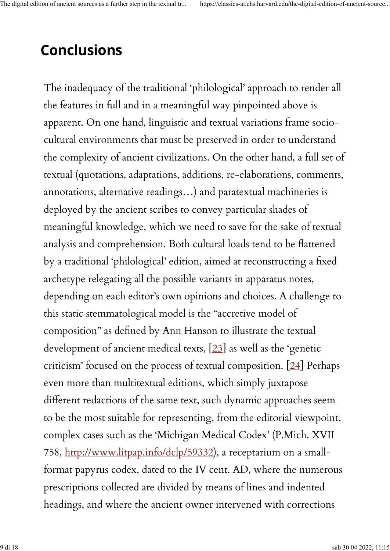### **Conclusions**

The inadequacy of the traditional 'philological' approach to render all the features in full and in a meaningful way pinpointed above is apparent. On one hand, linguistic and textual variations frame sociocultural environments that must be preserved in order to understand the complexity of ancient civilizations. On the other hand, a full set of textual (quotations, adaptations, additions, re-elaborations, comments, annotations, alternative readings…) and paratextual machineries is deployed by the ancient scribes to convey particular shades of meaningful knowledge, which we need to save for the sake of textual analysis and comprehension. Both cultural loads tend to be flattened by a traditional 'philological' edition, aimed at reconstructing a fixed archetype relegating all the possible variants in apparatus notes, depending on each editor's own opinions and choices. A challenge to this static stemmatological model is the "accretive model of composition" as de�ned by Ann Hanson to illustrate the textual development of ancient medical texts, [\[23\]](https://classics-at.chs.harvard.edu/the-digital-edition-of-ancient-sources-as-a-further-step-in-the-textual-transmission/#n.23) as well as the 'genetic criticism' focused on the process of textual composition. [[24\]](https://classics-at.chs.harvard.edu/the-digital-edition-of-ancient-sources-as-a-further-step-in-the-textual-transmission/#n.24) Perhaps even more than multitextual editions, which simply juxtapose different redactions of the same text, such dynamic approaches seem to be the most suitable for representing, from the editorial viewpoint, complex cases such as the 'Michigan Medical Codex' (P.Mich. XVII 758, [http://www.litpap.info/dclp/59332\)](http://www.litpap.info/dclp/59332), a receptarium on a smallformat papyrus codex, dated to the IV cent. AD, where the numerous prescriptions collected are divided by means of lines and indented headings, and where the ancient owner intervened with corrections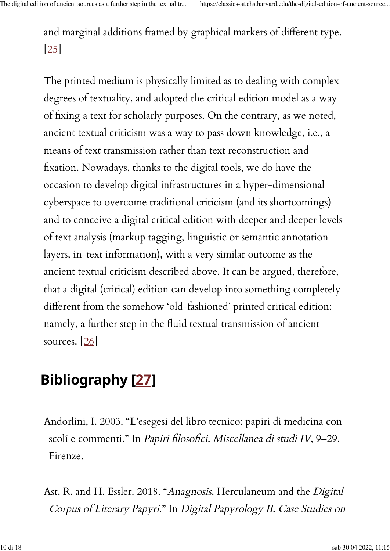and marginal additions framed by graphical markers of different type. [\[25\]](https://classics-at.chs.harvard.edu/the-digital-edition-of-ancient-sources-as-a-further-step-in-the-textual-transmission/#n.25)

The printed medium is physically limited as to dealing with complex degrees of textuality, and adopted the critical edition model as a way of fixing a text for scholarly purposes. On the contrary, as we noted, ancient textual criticism was a way to pass down knowledge, i.e., a means of text transmission rather than text reconstruction and �xation. Nowadays, thanks to the digital tools, we do have the occasion to develop digital infrastructures in a hyper-dimensional cyberspace to overcome traditional criticism (and its shortcomings) and to conceive a digital critical edition with deeper and deeper levels of text analysis (markup tagging, linguistic or semantic annotation layers, in-text information), with a very similar outcome as the ancient textual criticism described above. It can be argued, therefore, that a digital (critical) edition can develop into something completely different from the somehow 'old-fashioned' printed critical edition: namely, a further step in the fluid textual transmission of ancient sources.  $[26]$ 

## **Bibliography [\[27\]](https://classics-at.chs.harvard.edu/the-digital-edition-of-ancient-sources-as-a-further-step-in-the-textual-transmission/#n.27)**

- Andorlini, I. 2003. "L'esegesi del libro tecnico: papiri di medicina con scolî e commenti." In Papiri filosofici. Miscellanea di studi IV, 9-29. Firenze.
- Ast, R. and H. Essler. 2018. "Anagnosis, Herculaneum and the Digital Corpus of Literary Papyri." In Digital Papyrology II. Case Studies on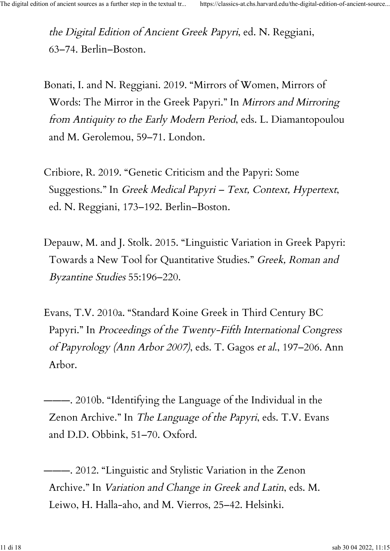the Digital Edition of Ancient Greek Papyri, ed. N. Reggiani, 63–74. Berlin–Boston.

- Bonati, I. and N. Reggiani. 2019. "Mirrors of Women, Mirrors of Words: The Mirror in the Greek Papyri." In Mirrors and Mirroring from Antiquity to the Early Modern Period, eds. L. Diamantopoulou and M. Gerolemou, 59–71. London.
- Cribiore, R. 2019. "Genetic Criticism and the Papyri: Some Suggestions." In Greek Medical Papyri – Text, Context, Hypertext, ed. N. Reggiani, 173–192. Berlin–Boston.
- Depauw, M. and J. Stolk. 2015. "Linguistic Variation in Greek Papyri: Towards a New Tool for Quantitative Studies." Greek, Roman and Byzantine Studies 55:196–220.
- Evans, T.V. 2010a. "Standard Koine Greek in Third Century BC Papyri." In Proceedings of the Twenty-Fifth International Congress of Papyrology (Ann Arbor 2007), eds. T. Gagos et al., 197–206. Ann Arbor.

———. 2010b. "Identifying the Language of the Individual in the Zenon Archive." In The Language of the Papyri, eds. T.V. Evans and D.D. Obbink, 51–70. Oxford.

———. 2012. "Linguistic and Stylistic Variation in the Zenon Archive." In Variation and Change in Greek and Latin, eds. M. Leiwo, H. Halla-aho, and M. Vierros, 25–42. Helsinki.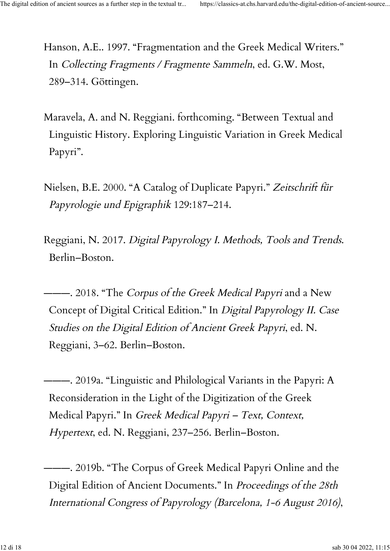Hanson, A.E.. 1997. "Fragmentation and the Greek Medical Writers." In Collecting Fragments / Fragmente Sammeln, ed. G.W. Most, 289–314. Göttingen.

- Maravela, A. and N. Reggiani. forthcoming. "Between Textual and Linguistic History. Exploring Linguistic Variation in Greek Medical Papyri".
- Nielsen, B.E. 2000. "A Catalog of Duplicate Papyri." Zeitschrift für Papyrologie und Epigraphik 129:187–214.
- Reggiani, N. 2017. Digital Papyrology I. Methods, Tools and Trends. Berlin–Boston.

--- 2018. "The *Corpus of the Greek Medical Papyri* and a New Concept of Digital Critical Edition." In Digital Papyrology II. Case Studies on the Digital Edition of Ancient Greek Papyri, ed. N. Reggiani, 3–62. Berlin–Boston.

———. 2019a. "Linguistic and Philological Variants in the Papyri: A Reconsideration in the Light of the Digitization of the Greek Medical Papyri." In Greek Medical Papyri – Text, Context, Hypertext, ed. N. Reggiani, 237–256. Berlin–Boston.

———. 2019b. "The Corpus of Greek Medical Papyri Online and the Digital Edition of Ancient Documents." In Proceedings of the 28th International Congress of Papyrology (Barcelona, 1-6 August 2016),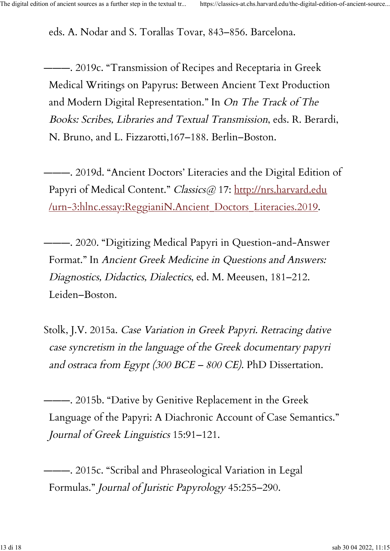eds. A. Nodar and S. Torallas Tovar, 843–856. Barcelona.

———. 2019c. "Transmission of Recipes and Receptaria in Greek Medical Writings on Papyrus: Between Ancient Text Production and Modern Digital Representation." In On The Track of The Books: Scribes, Libraries and Textual Transmission, eds. R. Berardi, N. Bruno, and L. Fizzarotti,167–188. Berlin–Boston.

———. 2019d. "Ancient Doctors' Literacies and the Digital Edition of Papyri of Medical Content." Classics@ 17: [http://nrs.harvard.edu](http://nrs.harvard.edu/urn-3:hlnc.essay:ReggianiN.Ancient_Doctors_Literacies.2019) [/urn-3:hlnc.essay:ReggianiN.Ancient\\_Doctors\\_Literacies.2019.](http://nrs.harvard.edu/urn-3:hlnc.essay:ReggianiN.Ancient_Doctors_Literacies.2019)

———. 2020. "Digitizing Medical Papyri in Question-and-Answer Format." In Ancient Greek Medicine in Questions and Answers: Diagnostics, Didactics, Dialectics, ed. M. Meeusen, 181–212. Leiden–Boston.

Stolk, J.V. 2015a. Case Variation in Greek Papyri. Retracing dative case syncretism in the language of the Greek documentary papyri and ostraca from Egypt (300 BCE - 800 CE). PhD Dissertation.

———. 2015b. "Dative by Genitive Replacement in the Greek Language of the Papyri: A Diachronic Account of Case Semantics." Journal of Greek Linguistics 15:91–121.

———. 2015c. "Scribal and Phraseological Variation in Legal Formulas." Journal of Juristic Papyrology 45:255–290.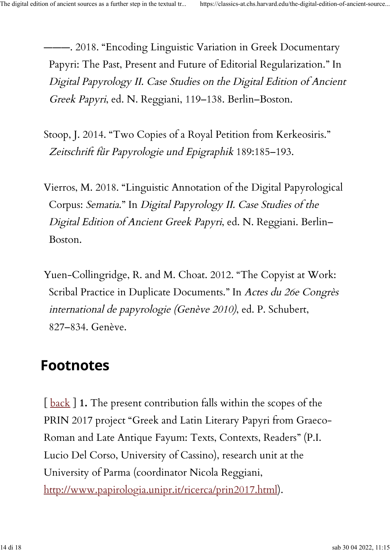———. 2018. "Encoding Linguistic Variation in Greek Documentary Papyri: The Past, Present and Future of Editorial Regularization." In Digital Papyrology II. Case Studies on the Digital Edition of Ancient Greek Papyri, ed. N. Reggiani, 119–138. Berlin–Boston.

- Stoop, J. 2014. "Two Copies of a Royal Petition from Kerkeosiris." Zeitschrift für Papyrologie und Epigraphik 189:185–193.
- Vierros, M. 2018. "Linguistic Annotation of the Digital Papyrological Corpus: Sematia." In Digital Papyrology II. Case Studies of the Digital Edition of Ancient Greek Papyri, ed. N. Reggiani. Berlin– Boston.
- Yuen-Collingridge, R. and M. Choat. 2012. "The Copyist at Work: Scribal Practice in Duplicate Documents." In Actes du 26e Congrès international de papyrologie (Genève 2010), ed. P. Schubert, 827–834. Genève.

### **Footnotes**

[ [back](https://classics-at.chs.harvard.edu/the-digital-edition-of-ancient-sources-as-a-further-step-in-the-textual-transmission/#noteref_n.1) ] **1.** The present contribution falls within the scopes of the PRIN 2017 project "Greek and Latin Literary Papyri from Graeco-Roman and Late Antique Fayum: Texts, Contexts, Readers" (P.I. Lucio Del Corso, University of Cassino), research unit at the University of Parma (coordinator Nicola Reggiani, [http://www.papirologia.unipr.it/ricerca/prin2017.html\)](http://www.papirologia.unipr.it/ricerca/prin2017.html).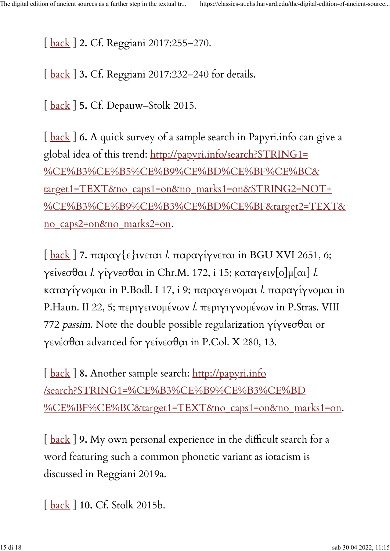[ [back](https://classics-at.chs.harvard.edu/the-digital-edition-of-ancient-sources-as-a-further-step-in-the-textual-transmission/#noteref_n.2) ] **2.** Cf. Reggiani 2017:255–270.

[ [back](https://classics-at.chs.harvard.edu/the-digital-edition-of-ancient-sources-as-a-further-step-in-the-textual-transmission/#noteref_n.3) ] **3.** Cf. Reggiani 2017:232–240 for details.

[ [back](https://classics-at.chs.harvard.edu/the-digital-edition-of-ancient-sources-as-a-further-step-in-the-textual-transmission/#noteref_n.5) ] **5.** Cf. Depauw–Stolk 2015.

[ [back](https://classics-at.chs.harvard.edu/the-digital-edition-of-ancient-sources-as-a-further-step-in-the-textual-transmission/#noteref_n.6) ] **6.** A quick survey of a sample search in Papyri.info can give a global idea of this trend: [http://papyri.info/search?STRING1=](http://papyri.info/search?STRING1=%CE%B3%CE%B5%CE%B9%CE%BD%CE%BF%CE%BC&target1=TEXT&no_caps1=on&no_marks1=on&STRING2=NOT+%CE%B3%CE%B9%CE%B3%CE%BD%CE%BF&target2=TEXT&no_caps2=on&no_marks2=on) [%CE%B3%CE%B5%CE%B9%CE%BD%CE%BF%CE%BC&](http://papyri.info/search?STRING1=%CE%B3%CE%B5%CE%B9%CE%BD%CE%BF%CE%BC&target1=TEXT&no_caps1=on&no_marks1=on&STRING2=NOT+%CE%B3%CE%B9%CE%B3%CE%BD%CE%BF&target2=TEXT&no_caps2=on&no_marks2=on) [target1=TEXT&no\\_caps1=on&no\\_marks1=on&STRING2=NOT+](http://papyri.info/search?STRING1=%CE%B3%CE%B5%CE%B9%CE%BD%CE%BF%CE%BC&target1=TEXT&no_caps1=on&no_marks1=on&STRING2=NOT+%CE%B3%CE%B9%CE%B3%CE%BD%CE%BF&target2=TEXT&no_caps2=on&no_marks2=on) [%CE%B3%CE%B9%CE%B3%CE%BD%CE%BF&target2=TEXT&](http://papyri.info/search?STRING1=%CE%B3%CE%B5%CE%B9%CE%BD%CE%BF%CE%BC&target1=TEXT&no_caps1=on&no_marks1=on&STRING2=NOT+%CE%B3%CE%B9%CE%B3%CE%BD%CE%BF&target2=TEXT&no_caps2=on&no_marks2=on) [no\\_caps2=on&no\\_marks2=on.](http://papyri.info/search?STRING1=%CE%B3%CE%B5%CE%B9%CE%BD%CE%BF%CE%BC&target1=TEXT&no_caps1=on&no_marks1=on&STRING2=NOT+%CE%B3%CE%B9%CE%B3%CE%BD%CE%BF&target2=TEXT&no_caps2=on&no_marks2=on)

[ [back](https://classics-at.chs.harvard.edu/the-digital-edition-of-ancient-sources-as-a-further-step-in-the-textual-transmission/#noteref_n.7) ] **7.** παραγ{ε}ινεται l. παραγίγνεται in BGU XVI 2651, 6; γείνεσθαι *l.* γίγνεσθαι in Chr.M. 172, i 15; καταγειν[ο]μ[αι] *l*. καταγίγνομαι in P.Bodl. I 17, i 9; παραγεινομαι l. παραγίγνομαι in P.Haun. II 22, 5; περιγεινομένων l. περιγιγνομένων in P.Stras. VIII 772 passim. Note the double possible regularization γίγνεσθαι or γενέσθαι advanced for γείνεσθαι in P.Col. X 280, 13.

[back] 8. Another sample search: [http://papyri.info](http://papyri.info/search?STRING1=%CE%B3%CE%B9%CE%B3%CE%BD%CE%BF%CE%BC&target1=TEXT&no_caps1=on&no_marks1=on) [/search?STRING1=%CE%B3%CE%B9%CE%B3%CE%BD](http://papyri.info/search?STRING1=%CE%B3%CE%B9%CE%B3%CE%BD%CE%BF%CE%BC&target1=TEXT&no_caps1=on&no_marks1=on) [%CE%BF%CE%BC&target1=TEXT&no\\_caps1=on&no\\_marks1=on.](http://papyri.info/search?STRING1=%CE%B3%CE%B9%CE%B3%CE%BD%CE%BF%CE%BC&target1=TEXT&no_caps1=on&no_marks1=on)

[back] 9. My own personal experience in the difficult search for a word featuring such a common phonetic variant as iotacism is discussed in Reggiani 2019a.

[ [back](https://classics-at.chs.harvard.edu/the-digital-edition-of-ancient-sources-as-a-further-step-in-the-textual-transmission/#noteref_n.10) ] **10.** Cf. Stolk 2015b.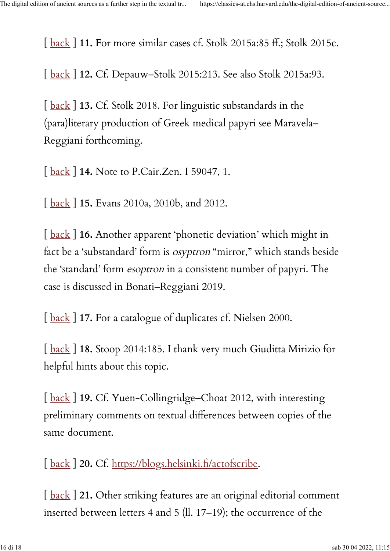[ [back](https://classics-at.chs.harvard.edu/the-digital-edition-of-ancient-sources-as-a-further-step-in-the-textual-transmission/#noteref_n.11) ] **11.** For more similar cases cf. Stolk 2015a:85 �.; Stolk 2015c.

[ [back](https://classics-at.chs.harvard.edu/the-digital-edition-of-ancient-sources-as-a-further-step-in-the-textual-transmission/#noteref_n.12) ] **12.** Cf. Depauw–Stolk 2015:213. See also Stolk 2015a:93.

[back ] 13. Cf. Stolk 2018. For linguistic substandards in the (para)literary production of Greek medical papyri see Maravela– Reggiani forthcoming.

[ [back](https://classics-at.chs.harvard.edu/the-digital-edition-of-ancient-sources-as-a-further-step-in-the-textual-transmission/#noteref_n.14) ] **14.** Note to P.Cair.Zen. I 59047, 1.

[ [back](https://classics-at.chs.harvard.edu/the-digital-edition-of-ancient-sources-as-a-further-step-in-the-textual-transmission/#noteref_n.15) ] **15.** Evans 2010a, 2010b, and 2012.

[ [back](https://classics-at.chs.harvard.edu/the-digital-edition-of-ancient-sources-as-a-further-step-in-the-textual-transmission/#noteref_n.16) ] **16.** Another apparent 'phonetic deviation' which might in fact be a 'substandard' form is osyptron "mirror," which stands beside the 'standard' form esoptron in a consistent number of papyri. The case is discussed in Bonati–Reggiani 2019.

[ [back](https://classics-at.chs.harvard.edu/the-digital-edition-of-ancient-sources-as-a-further-step-in-the-textual-transmission/#noteref_n.17) ] **17.** For a catalogue of duplicates cf. Nielsen 2000.

[ [back](https://classics-at.chs.harvard.edu/the-digital-edition-of-ancient-sources-as-a-further-step-in-the-textual-transmission/#noteref_n.18) ] **18.** Stoop 2014:185. I thank very much Giuditta Mirizio for helpful hints about this topic.

[ [back](https://classics-at.chs.harvard.edu/the-digital-edition-of-ancient-sources-as-a-further-step-in-the-textual-transmission/#noteref_n.19) ] **19.** Cf. Yuen-Collingridge–Choat 2012, with interesting preliminary comments on textual differences between copies of the same document.

[back] 20. Cf. [https://blogs.helsinki.](https://blogs.helsinki.fi/actofscribe)fi/actofscribe.

[back] 21. Other striking features are an original editorial comment inserted between letters 4 and 5 (ll. 17–19); the occurrence of the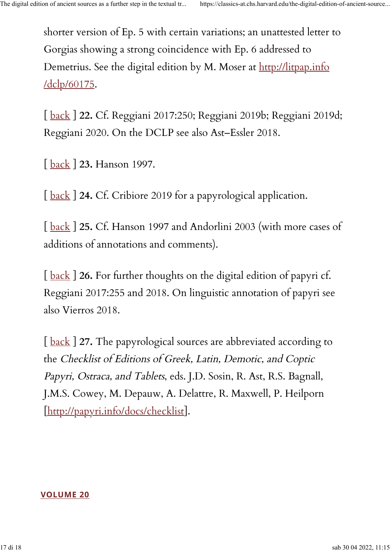shorter version of Ep. 5 with certain variations; an unattested letter to Gorgias showing a strong coincidence with Ep. 6 addressed to Demetrius. See the digital edition by M. Moser at [http://litpap.info](http://litpap.info/dclp/60175) [/dclp/60175.](http://litpap.info/dclp/60175)

[ [back](https://classics-at.chs.harvard.edu/the-digital-edition-of-ancient-sources-as-a-further-step-in-the-textual-transmission/#noteref_n.22) ] **22.** Cf. Reggiani 2017:250; Reggiani 2019b; Reggiani 2019d; Reggiani 2020. On the DCLP see also Ast–Essler 2018.

[ [back](https://classics-at.chs.harvard.edu/the-digital-edition-of-ancient-sources-as-a-further-step-in-the-textual-transmission/#noteref_n.23) ] **23.** Hanson 1997.

[back] 24. Cf. Cribiore 2019 for a papyrological application.

[ [back](https://classics-at.chs.harvard.edu/the-digital-edition-of-ancient-sources-as-a-further-step-in-the-textual-transmission/#noteref_n.25) ] **25.** Cf. Hanson 1997 and Andorlini 2003 (with more cases of additions of annotations and comments).

[ [back](https://classics-at.chs.harvard.edu/the-digital-edition-of-ancient-sources-as-a-further-step-in-the-textual-transmission/#noteref_n.26) ] **26.** For further thoughts on the digital edition of papyri cf. Reggiani 2017:255 and 2018. On linguistic annotation of papyri see also Vierros 2018.

[back] 27. The papyrological sources are abbreviated according to the Checklist of Editions of Greek, Latin, Demotic, and Coptic Papyri, Ostraca, and Tablets, eds. J.D. Sosin, R. Ast, R.S. Bagnall, J.M.S. Cowey, M. Depauw, A. Delattre, R. Maxwell, P. Heilporn [\[http://papyri.info/docs/checklist\]](http://papyri.info/docs/checklist).

**[VOLUME 20](https://classics-at.chs.harvard.edu/category/volume-20)**